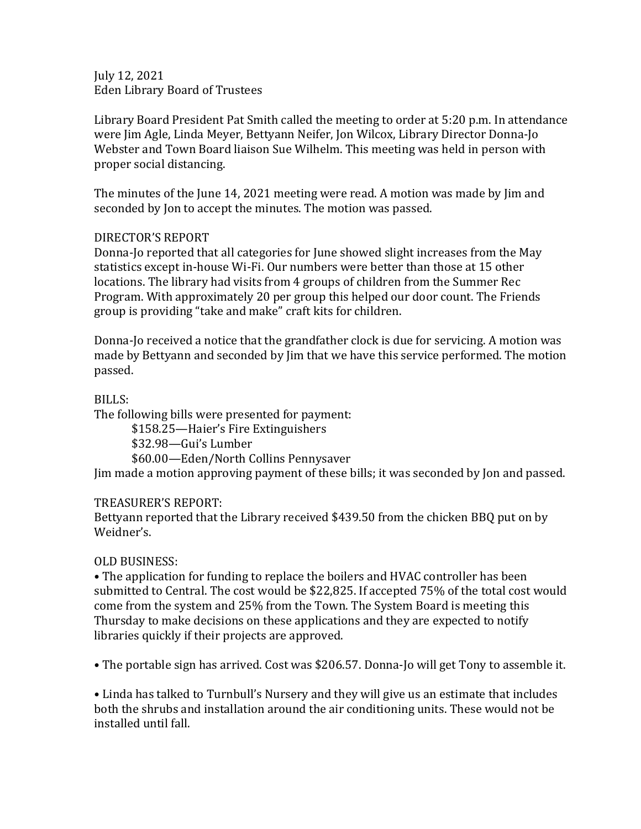July 12, 2021 Eden Library Board of Trustees

Library Board President Pat Smith called the meeting to order at 5:20 p.m. In attendance were Jim Agle, Linda Meyer, Bettyann Neifer, Jon Wilcox, Library Director Donna-Jo Webster and Town Board liaison Sue Wilhelm. This meeting was held in person with proper social distancing.

The minutes of the June 14, 2021 meeting were read. A motion was made by Jim and seconded by Jon to accept the minutes. The motion was passed.

## DIRECTOR'S REPORT

Donna-Jo reported that all categories for June showed slight increases from the May statistics except in-house Wi-Fi. Our numbers were better than those at 15 other locations. The library had visits from 4 groups of children from the Summer Rec Program. With approximately 20 per group this helped our door count. The Friends group is providing "take and make" craft kits for children.

Donna-Jo received a notice that the grandfather clock is due for servicing. A motion was made by Bettyann and seconded by Jim that we have this service performed. The motion passed.

BILLS:

The following bills were presented for payment:

\$158.25—Haier's Fire Extinguishers

\$32.98—Gui's Lumber

\$60.00—Eden/North Collins Pennysaver

Jim made a motion approving payment of these bills; it was seconded by Jon and passed.

## TREASURER'S REPORT:

Bettyann reported that the Library received \$439.50 from the chicken BBQ put on by Weidner's.

## OLD BUSINESS:

• The application for funding to replace the boilers and HVAC controller has been submitted to Central. The cost would be \$22,825. If accepted 75% of the total cost would come from the system and 25% from the Town. The System Board is meeting this Thursday to make decisions on these applications and they are expected to notify libraries quickly if their projects are approved.

• The portable sign has arrived. Cost was \$206.57. Donna-Jo will get Tony to assemble it.

• Linda has talked to Turnbull's Nursery and they will give us an estimate that includes both the shrubs and installation around the air conditioning units. These would not be installed until fall.